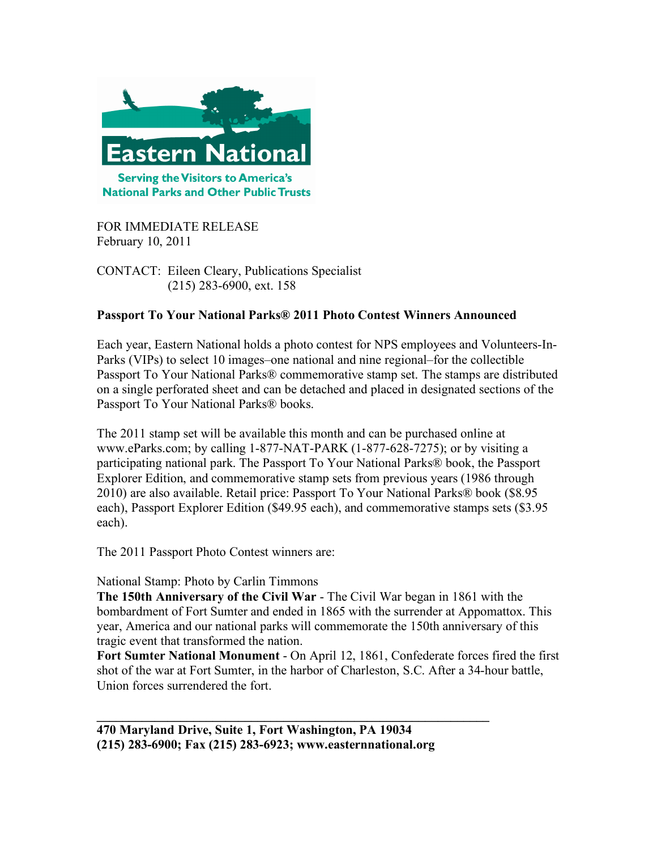

FOR IMMEDIATE RELEASE February 10, 2011

CONTACT: Eileen Cleary, Publications Specialist (215) 283-6900, ext. 158

# **Passport To Your National Parks® 2011 Photo Contest Winners Announced**

Each year, Eastern National holds a photo contest for NPS employees and Volunteers-In-Parks (VIPs) to select 10 images–one national and nine regional–for the collectible Passport To Your National Parks® commemorative stamp set. The stamps are distributed on a single perforated sheet and can be detached and placed in designated sections of the Passport To Your National Parks® books.

The 2011 stamp set will be available this month and can be purchased online at www.eParks.com; by calling 1-877-NAT-PARK (1-877-628-7275); or by visiting a participating national park. The Passport To Your National Parks® book, the Passport Explorer Edition, and commemorative stamp sets from previous years (1986 through 2010) are also available. Retail price: Passport To Your National Parks® book (\$8.95 each), Passport Explorer Edition (\$49.95 each), and commemorative stamps sets (\$3.95 each).

The 2011 Passport Photo Contest winners are:

# National Stamp: Photo by Carlin Timmons

**The 150th Anniversary of the Civil War** - The Civil War began in 1861 with the bombardment of Fort Sumter and ended in 1865 with the surrender at Appomattox. This year, America and our national parks will commemorate the 150th anniversary of this tragic event that transformed the nation.

**Fort Sumter National Monument** - On April 12, 1861, Confederate forces fired the first shot of the war at Fort Sumter, in the harbor of Charleston, S.C. After a 34-hour battle, Union forces surrendered the fort.

**\_\_\_\_\_\_\_\_\_\_\_\_\_\_\_\_\_\_\_\_\_\_\_\_\_\_\_\_\_\_\_\_\_\_\_\_\_\_\_\_\_\_\_\_\_\_\_\_\_\_\_\_\_\_\_\_\_\_\_\_\_**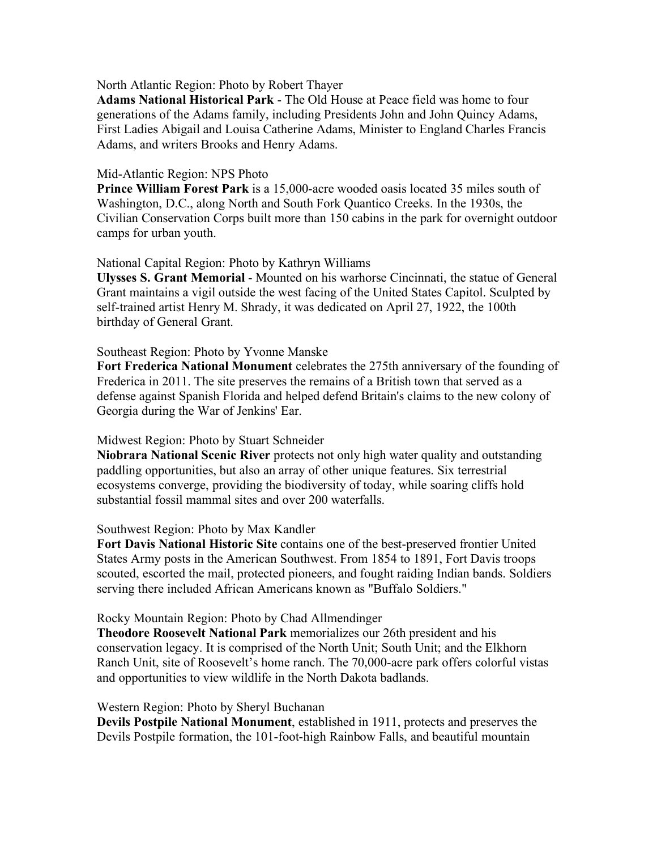## North Atlantic Region: Photo by Robert Thayer

**Adams National Historical Park** - The Old House at Peace field was home to four generations of the Adams family, including Presidents John and John Quincy Adams, First Ladies Abigail and Louisa Catherine Adams, Minister to England Charles Francis Adams, and writers Brooks and Henry Adams.

## Mid-Atlantic Region: NPS Photo

**Prince William Forest Park** is a 15,000-acre wooded oasis located 35 miles south of Washington, D.C., along North and South Fork Quantico Creeks. In the 1930s, the Civilian Conservation Corps built more than 150 cabins in the park for overnight outdoor camps for urban youth.

## National Capital Region: Photo by Kathryn Williams

**Ulysses S. Grant Memorial** - Mounted on his warhorse Cincinnati, the statue of General Grant maintains a vigil outside the west facing of the United States Capitol. Sculpted by self-trained artist Henry M. Shrady, it was dedicated on April 27, 1922, the 100th birthday of General Grant.

## Southeast Region: Photo by Yvonne Manske

**Fort Frederica National Monument** celebrates the 275th anniversary of the founding of Frederica in 2011. The site preserves the remains of a British town that served as a defense against Spanish Florida and helped defend Britain's claims to the new colony of Georgia during the War of Jenkins' Ear.

### Midwest Region: Photo by Stuart Schneider

**Niobrara National Scenic River** protects not only high water quality and outstanding paddling opportunities, but also an array of other unique features. Six terrestrial ecosystems converge, providing the biodiversity of today, while soaring cliffs hold substantial fossil mammal sites and over 200 waterfalls.

### Southwest Region: Photo by Max Kandler

**Fort Davis National Historic Site** contains one of the best-preserved frontier United States Army posts in the American Southwest. From 1854 to 1891, Fort Davis troops scouted, escorted the mail, protected pioneers, and fought raiding Indian bands. Soldiers serving there included African Americans known as "Buffalo Soldiers."

### Rocky Mountain Region: Photo by Chad Allmendinger

**Theodore Roosevelt National Park** memorializes our 26th president and his conservation legacy. It is comprised of the North Unit; South Unit; and the Elkhorn Ranch Unit, site of Roosevelt's home ranch. The 70,000-acre park offers colorful vistas and opportunities to view wildlife in the North Dakota badlands.

### Western Region: Photo by Sheryl Buchanan

**Devils Postpile National Monument**, established in 1911, protects and preserves the Devils Postpile formation, the 101-foot-high Rainbow Falls, and beautiful mountain